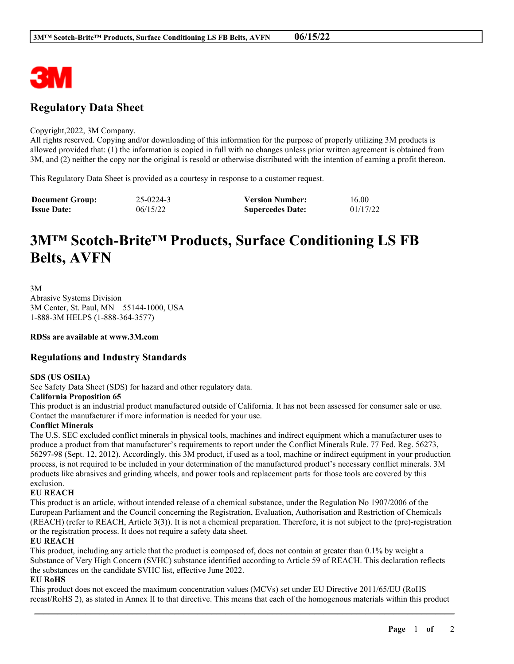

# **Regulatory Data Sheet**

#### Copyright,2022, 3M Company.

All rights reserved. Copying and/or downloading of this information for the purpose of properly utilizing 3M products is allowed provided that: (1) the information is copied in full with no changes unless prior written agreement is obtained from 3M, and (2) neither the copy nor the original is resold or otherwise distributed with the intention of earning a profit thereon.

This Regulatory Data Sheet is provided as a courtesy in response to a customer request.

| <b>Document Group:</b> | 25-0224-3 | <b>Version Number:</b>  | 16.00    |
|------------------------|-----------|-------------------------|----------|
| <b>Issue Date:</b>     | 06/15/22  | <b>Supercedes Date:</b> | 01/17/22 |

# **3M™ Scotch-Brite™ Products, Surface Conditioning LS FB Belts, AVFN**

3M Abrasive Systems Division 3M Center, St. Paul, MN 55144-1000, USA 1-888-3M HELPS (1-888-364-3577)

**RDSs are available at www.3M.com**

# **Regulations and Industry Standards**

# **SDS (US OSHA)**

See Safety Data Sheet (SDS) for hazard and other regulatory data.

# **California Proposition 65**

This product is an industrial product manufactured outside of California. It has not been assessed for consumer sale or use. Contact the manufacturer if more information is needed for your use.

# **Conflict Minerals**

The U.S. SEC excluded conflict minerals in physical tools, machines and indirect equipment which a manufacturer uses to produce a product from that manufacturer's requirements to report under the Conflict Minerals Rule. 77 Fed. Reg. 56273, 56297-98 (Sept. 12, 2012). Accordingly, this 3M product, if used as a tool, machine or indirect equipment in your production process, is not required to be included in your determination of the manufactured product's necessary conflict minerals. 3M products like abrasives and grinding wheels, and power tools and replacement parts for those tools are covered by this exclusion.

# **EU REACH**

This product is an article, without intended release of a chemical substance, under the Regulation No 1907/2006 of the European Parliament and the Council concerning the Registration, Evaluation, Authorisation and Restriction of Chemicals (REACH) (refer to REACH, Article 3(3)). It is not a chemical preparation. Therefore, it is not subject to the (pre)-registration or the registration process. It does not require a safety data sheet.

# **EU REACH**

This product, including any article that the product is composed of, does not contain at greater than 0.1% by weight a Substance of Very High Concern (SVHC) substance identified according to Article 59 of REACH. This declaration reflects the substances on the candidate SVHC list, effective June 2022.

# **EU RoHS**

This product does not exceed the maximum concentration values (MCVs) set under EU Directive 2011/65/EU (RoHS recast/RoHS 2), as stated in Annex II to that directive. This means that each of the homogenous materials within this product

\_\_\_\_\_\_\_\_\_\_\_\_\_\_\_\_\_\_\_\_\_\_\_\_\_\_\_\_\_\_\_\_\_\_\_\_\_\_\_\_\_\_\_\_\_\_\_\_\_\_\_\_\_\_\_\_\_\_\_\_\_\_\_\_\_\_\_\_\_\_\_\_\_\_\_\_\_\_\_\_\_\_\_\_\_\_\_\_\_\_